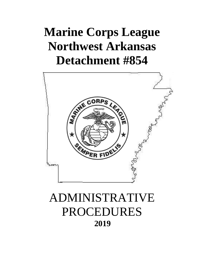# **Marine Corps League Northwest Arkansas Detachment #854**



## ADMINISTRATIVE PROCEDURES **2019**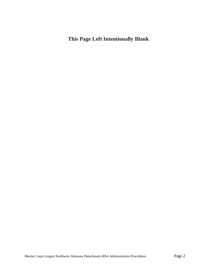**This Page Left Intentionally Blank**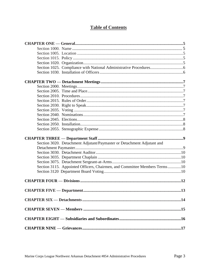## **Table of Contents**

| Section 3020. Detachment Adjutant/Paymaster or Detachment Adjutant and    |  |
|---------------------------------------------------------------------------|--|
|                                                                           |  |
|                                                                           |  |
|                                                                           |  |
|                                                                           |  |
| Section 3115. Appointed Officers, Chairmen, and Committee Members Terms10 |  |
|                                                                           |  |
|                                                                           |  |
|                                                                           |  |
|                                                                           |  |
|                                                                           |  |
|                                                                           |  |
|                                                                           |  |
|                                                                           |  |
|                                                                           |  |
|                                                                           |  |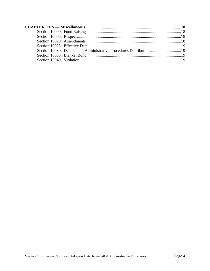| Section 10030. Detachment Administrative Procedures Distribution 19 |  |
|---------------------------------------------------------------------|--|
|                                                                     |  |
|                                                                     |  |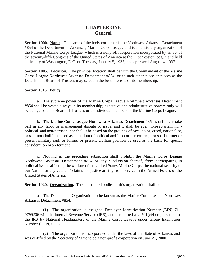## **CHAPTER ONE General**

**Section 1000. Name.** The name of the body corporate is the Northwest Arkansas Detachment #854 of the Department of Arkansas, Marine Corps League and is a subsidiary organization of the National Marine Corps League, which is a nonprofit corporation incorporated by an act of the seventy-fifth Congress of the United States of America at the First Session, begun and held at the city of Washington, D.C. on Tuesday, January 5, 1937, and approved August 4, 1937.

**Section 1005. Location.** The principal location shall be with the Commandant of the Marine Corps League Northwest Arkansas Detachment #854, or at such other place or places as the Detachment Board of Trustees may select in the best interests of its membership.

#### **Section 1015. Policy.**

a. The supreme power of the Marine Corps League Northwest Arkansas Detachment #854 shall be vested always in its membership; executive and administrative powers only will be delegated to its Board of Trustees or to individual members of the Marine Corps League.

b. The Marine Corps League Northwest Arkansas Detachment #854 shall never take part in any labor or management dispute or issue, and it shall be ever non-sectarian, nonpolitical, and non-partisan; nor shall it be based on the grounds of race, color, creed, nationality, or sex; nor shall it be used as a medium of political ambition or preferment; nor shall former or present military rank or former or present civilian position be used as the basis for special consideration orpreferment.

c. Nothing in the preceding subsection shall prohibit the Marine Corps League Northwest Arkansas Detachment #854 or any subdivision thereof, from participating in political issues affecting the welfare of the United States Marine Corps, the national security of our Nation, or any veterans' claims for justice arising from service in the Armed Forces of the United States ofAmerica.

**Section 1020. Organization.** The constituted bodies of this organization shall be:

a. The Detachment Organization to be known as the Marine Corps League Northwest Arkansas Detachment #854.

(1) The organization is assigned Employer Identification Number (EIN) 71- 0799206 with the Internal Revenue Service (IRS), and is reported as a  $501(c)4$  organization to the IRS by National Headquarters of the Marine Corps League under Group Exemption Number (GEN) 0955.

(2) The organization is incorporated under the laws of the State of Arkansas and was certified by the Secretary of State to be a non-profit corporation on June 21, 2000.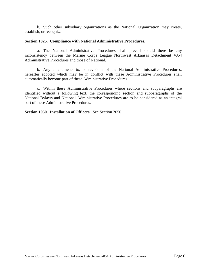b. Such other subsidiary organizations as the National Organization may create, establish, or recognize.

#### **Section 1025. Compliance with National Administrative Procedures.**

a. The National Administrative Procedures shall prevail should there be any inconsistency between the Marine Corps League Northwest Arkansas Detachment #854 Administrative Procedures and those of National.

b. Any amendments to, or revisions of the National Administrative Procedures, hereafter adopted which may be in conflict with these Administrative Procedures shall automatically become part of these Administrative Procedures.

c. Within these Administrative Procedures where sections and subparagraphs are identified without a following text, the corresponding section and subparagraphs of the National Bylaws and National Administrative Procedures are to be considered as an integral part of these Administrative Procedures.

**Section 1030. Installation of Officers.** See Section 2050.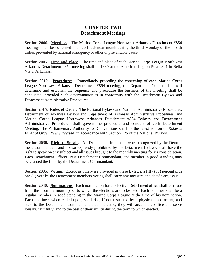#### **CHAPTER TWO Detachment Meetings**

**Section 2000. Meetings.** The Marine Corps League Northwest Arkansas Detachment #854 meetings shall be convened once each calendar month during the third Monday of the month unless prevented by national emergency or other unpreventable cause.

**Section 2005. Time and Place.** The time and place of each Marine Corps League Northwest Arkansas Detachment #854 meeting shall be 1830 at the American Legion Post #341 in Bella Vista, Arkansas.

**Section 2010. Procedures.** Immediately preceding the convening of each Marine Corps League Northwest Arkansas Detachment #854 meeting, the Department Commandant will determine and establish the sequence and procedure the business of the meeting shall be conducted, provided such determination is in conformity with the Detachment Bylaws and Detachment Administrative Procedures.

**Section 2015. Rules of Order.** The National Bylaws and National Administrative Procedures, Department of Arkansas Bylaws and Department of Arkansas Administrative Procedures, and Marine Corps League Northwest Arkansas Detachment #854 Bylaws and Detachment Administrative Procedures shall govern the procedure and conduct of each Detachment Meeting. The Parliamentary Authority for Conventions shall be the latest edition of *Robert's Rules of Order Newly Revised,* in accordance with Section 425 of the National Bylaws.

**Section 2030. Right to Speak.** All Detachment Members, when recognized by the Detachment Commandant and not so expressly prohibited by the Detachment Bylaws, shall have the right to speak on any subject and all issues brought to the monthly meeting for its consideration. Each Detachment Officer, Past Detachment Commandant, and member in good standing may be granted the floor by the Detachment Commandant.

**Section 2035.** Voting. Except as otherwise provided in these Bylaws, a fifty (50) percent plus one (1) vote by the Detachment members voting shall carry any measure and decide any issue.

**Section 2040. Nominations.** Each nomination for an elective Detachment office shall be made from the floor the month prior to which the elections are to be held. Each nominee shall be a regular member in good standing in the Marine Corps League at the time of his nomination. Each nominee, when called upon, shall rise, if not restricted by a physical impairment, and state to the Detachment Commandant that if elected, they will accept the office and serve loyally, faithfully, and to the best of their ability during the term to which elected.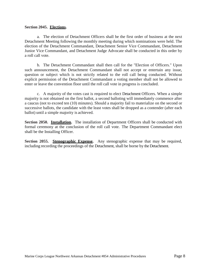#### **Section 2045. Elections.**

a. The election of Detachment Officers shall be the first order of business at the next Detachment Meeting following the monthly meeting during which nominations were held. The election of the Detachment Commandant, Detachment Senior Vice Commandant, Detachment Junior Vice Commandant, and Detachment Judge Advocate shall be conducted in this order by a roll call vote.

b. The Detachment Commandant shall then call for the "Election of Officers." Upon such announcement, the Detachment Commandant shall not accept or entertain any issue, question or subject which is not strictly related to the roll call being conducted. Without explicit permission of the Detachment Commandant a voting member shall not be allowed to enter or leave the convention floor until the roll call vote in progress is concluded.

c. A majority of the votes cast is required to elect Detachment Officers. When a simple majority is not obtained on the first ballot, a second balloting will immediately commence after a caucus (not to exceed ten (10) minutes). Should a majority fail to materialize on the second or successive ballots, the candidate with the least votes shall be dropped as a contender (after each ballot) until a simple majority is achieved.

**Section 2050. Installation.** The installation of Department Officers shall be conducted with formal ceremony at the conclusion of the roll call vote. The Department Commandant elect shall be the Installing Officer.

**Section 2055. Stenographic Expense.** Any stenographic expense that may be required, including recording the proceedings of the Detachment, shall be borne by the Detachment.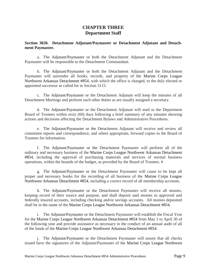#### **CHAPTER THREE Department Staff**

**Section 3020. Detachment Adjutant/Paymaster or Detachment Adjutant and Detachment Paymaster.** 

a. The Adjutant/Paymaster or both the Detachment Adjutant and the Detachment Paymaster will be responsible to the Detachment Commandant.

b. The Adjutant/Paymaster or both the Detachment Adjutant and the Detachment Paymaster will surrender all books, records, and property of the Marine Corps League Northwest Arkansas Detachment #854, with which the office is charged, to the duly elected or appointed successor as called for in Section 3115.

c. The Adjutant/Paymaster or the Detachment Adjutant will keep the minutes of all Detachment Meetings and perform such other duties as are usually assigned a secretary.

d. The Adjutant/Paymaster or the Detachment Adjutant will mail to the Department Board of Trustees within sixty (60) days following a brief summary of any minutes showing actions and decisions affecting the Detachment Bylaws and Administrative Procedures.

e. The Adjutant/Paymaster or the Detachment Adjutant will receive and review all committee reports and correspondence, and where appropriate, forward copies to the Board of Trustees for information.

f. The Adjutant/Paymaster or the Detachment Paymaster will perform all of the ordinary and necessary business of the Marine Corps League Northwest Arkansas Detachment #854, including the approval of purchasing materials and services of normal business operations, within the bounds of the budget, as provided by the Board of Trustees. #

g. The Adjutant/Paymaster or the Detachment Paymaster will cause to be kept all proper and necessary books for the recording of all business of the Marine Corps League Northwest Arkansas Detachment #854, including a correct record of all membership accounts.

h. The Adjutant/Paymaster or the Detachment Paymaster will receive all monies, keeping record of their source and purpose, and shall deposit said monies in approved and federally insured accounts, including checking and/or savings accounts. All monies deposited shall be in the name of the Marine Corps League Northwest Arkansas Detachment #854.

i. The Adjutant/Paymaster or the Detachment Paymaster will establish the Fiscal Year for the Marine Corps League Northwest Arkansas Detachment #854 from May 1 to April 30 of the following year and provide assistance as necessary in the conduct of an annual audit of all of the funds of the Marine Corps League Northwest Arkansas Detachment #854.

j. The Adjutant/Paymaster or the Detachment Paymaster will assure that all checks issued have the signatures of the Adjutant/Paymaster of the Marine Corps League Northwest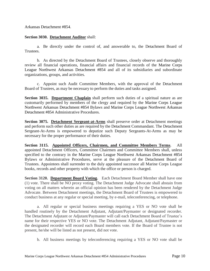Arkansas Detachment #854.

#### **Section 3030. Detachment Auditor** shall:

a. Be directly under the control of, and answerable to, the Detachment Board of Trustees.

b. As directed by the Detachment Board of Trustees, closely observe and thoroughly review all financial operations, financial affairs and financial records of the Marine Corps League Northwest Arkansas Detachment #854 and all of its subsidiaries and subordinate organizations, groups, and activities.

c. Appoint such Audit Committee Members, with the approval of the Detachment Board of Trustees, as may be necessary to perform the duties and tasks assigned.

**Section 3035. Department Chaplain** shall perform such duties of a spiritual nature as are customarily performed by members of the clergy and required by the Marine Corps League Northwest Arkansas Detachment #854 Bylaws and Marine Corps League Northwest Arkansas Detachment #854 Administrative Procedures.

**Section 3075. Detachment Sergeant-at-Arms** shall preserve order at Detachment meetings and perform such other duties as are required by the Detachment Commandant. The Detachment Sergeant-At-Arms is empowered to deputize such Deputy Sergeants-At-Arms as may be necessary for the proper performance of their duties.

**Section 3115. Appointed Officers, Chairmen, and Committee Members Terms**. All appointed Detachment Officers, Committee Chairmen and Committee Members shall, unless specified to the contrary in the Marine Corps League Northwest Arkansas Detachment #854 Bylaws or Administrative Procedures, serve at the pleasure of the Detachment Board of Trustees. Appointees shall surrender to the duly appointed successor all Marine Corps League books, records and other property with which the office or person is charged.

**Section 3120. Department Board Voting.** Each Detachment Board Member shall have one (1) vote. There shall be NO proxy voting. The Detachment Judge Advocate shall abstain from voting on all matters wherein an official opinion has been rendered by the Detachment Judge Advocate. Between Detachment meetings, the Detachment Board of Trustees is empowered to conduct business at any regular or special meeting, by e-mail, teleconferencing, or telephone.

a. All regular or special business meetings requiring a YES or NO vote shall be handled routinely by the Detachment Adjutant, Adjutant/Paymaster or designated recorder. The Detachment Adjutant or Adjutant/Paymaster will call each Detachment Board of Trustee's name for their respective YES or NO vote. The Detachment Adjutant, Adjutant/Paymaster or the designated recorder will record each Board members vote. If the Board of Trustee is not present, he/she will be listed as not present, did not vote.

b. All business meetings by teleconferencing requiring a YES or NO vote shall be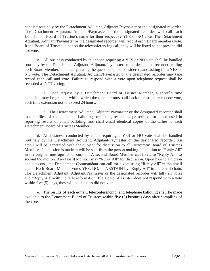handled routinely by the Detachment Adjutant, Adjutant/Paymaster or the designated recorder. The Detachment Adjutant, Adjutant/Paymaster or the designated recorder will call each Detachment Board of Trustee's name for their respective YES or NO vote. The Detachment Adjutant, Adjutant/Paymaster or the designated recorder will record each Board members vote. If the Board of Trustee is not on the teleconferencing call, they will be listed as not present, did not vote.

c. All business conducted by telephone requiring a YES or NO vote shall be handled routinely by the Detachment Adjutant, Adjutant/Paymaster or the designated recorder, calling each Board Member, identically stating the questions to be considered, and asking for a YES or NO vote. The Detachment Adjutant, Adjutant/Paymaster or the designated recorder may tape record each call and vote. Failure to respond with a vote upon telephone request shall be recorded as NOT voting.

1. Upon request by a Detachment Board of Trustee Member, a specific time extension may be granted within which the member must call back to cast the telephone vote, such time extension not to exceed 24 hours.

2. The Detachment Adjutant, Adjutant/Paymaster or the designated recorder shall make tallies of the telephone balloting, reflecting results as prescribed for those used in reporting results of email balloting, and shall email identical copies of the tallies to each Detachment Board of Trustees Member.

d. All business conducted by email requiring a YES or NO vote shall be handled routinely by the Detachment Adjutant, Adjutant/Paymaster or the designated recorder. An email will be generated with the subject for discussion to all Detachment Board of Trustees Members. If a motion is made, it will be sent from the person making the motion to "Reply All" in the original message for discussion. A second Board Member can likewise "Reply All" to second the motion. Any Board Member may "Reply All" for discussion. Upon having a motion and a second, the Detachment Commandant can call for a vote using "Reply All" in the email chain. Each Board Member votes YES, NO, or ABSTAIN by "Reply All" in the email chain. The Detachment Adjutant, Adjutant/Paymaster or the designated recorder will tally all votes and "Reply All" with the tally information. If a Board of Trustee does not respond with a vote within five (5) days, they will be listed as did not vote.

e. The results of each e-mail, teleconferencing, and telephone balloting shall be made available to the Detachment Board of Trustees within five (5) business days after compiling of the vote.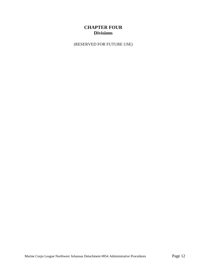## **CHAPTER FOUR Divisions**

(RESERVED FOR FUTURE USE)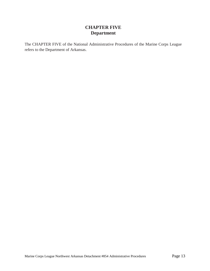## **CHAPTER FIVE Department**

The CHAPTER FIVE of the National Administrative Procedures of the Marine Corps League refers to the Department of Arkansas.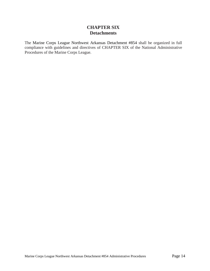## **CHAPTER SIX Detachments**

The Marine Corps League Northwest Arkansas Detachment #854 shall be organized in full compliance with guidelines and directives of CHAPTER SIX of the National Administrative Procedures of the Marine Corps League.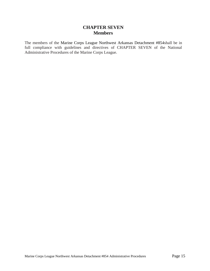#### **CHAPTER SEVEN Members**

The members of the Marine Corps League Northwest Arkansas Detachment #854shall be in full compliance with guidelines and directives of CHAPTER SEVEN of the National Administrative Procedures of the Marine Corps League.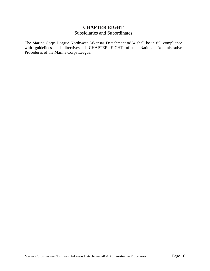## **CHAPTER EIGHT**

#### Subsidiaries and Subordinates

The Marine Corps League Northwest Arkansas Detachment #854 shall be in full compliance with guidelines and directives of CHAPTER EIGHT of the National Administrative Procedures of the Marine Corps League.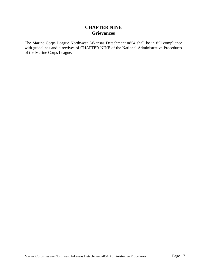## **CHAPTER NINE Grievances**

The Marine Corps League Northwest Arkansas Detachment #854 shall be in full compliance with guidelines and directives of CHAPTER NINE of the National Administrative Procedures of the Marine Corps League.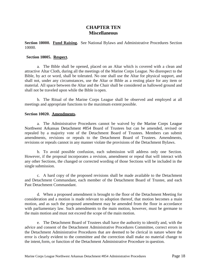#### **CHAPTER TEN Miscellaneous**

**Section 10000. Fund Raising.** See National Bylaws and Administrative Procedures Section 10000.

#### **Section 10005. Respect.**

a. The Bible shall be opened, placed on an Altar which is covered with a clean and attractive Altar Cloth, during all the meetings of the Marine Corps League. No disrespect to the Bible, by act or word, shall be tolerated. No one shall use the Altar for physical support, and shall not, under any circumstances, use the Altar or Bible as a resting place for any item or material. All space between the Altar and the Chair shall be considered as hallowed ground and shall not be traveled upon while the Bible is open.

b. The Ritual of the Marine Corps League shall be observed and employed at all meetings and appropriate functions to the maximum extent possible.

#### **Section 10020. Amendments.**

a. The Administrative Procedures cannot be waived by the Marine Corps League Northwest Arkansas Detachment #854 Board of Trustees but can be amended, revised or repealed by a majority vote of the Detachment Board of Trustees. Members can submit amendments, revisions or repeals to the Detachment Board of Trustees. Amendments, revisions or repeals cannot in any manner violate the provisions of the Detachment Bylaws.

b. To avoid possible confusion, each submission will address only one Section. However, if the proposal incorporates a revision, amendment or repeal that will interact with any other Sections, the changed or corrected wording of those Sections will be included in the single submission.

c. A hard copy of the proposed revisions shall be made available to the Detachment and Detachment Commandant, each member of the Detachment Board of Trustee, and each Past Detachment Commandant.

d. When a proposed amendment is brought to the floor of the Detachment Meeting for consideration and a motion is made relevant to adoption thereof, that motion becomes a main motion, and as such the proposed amendment may be amended from the floor in accordance with parliamentary law. Such amendments to the main motion, however, must be germane to the main motion and must not exceed the scope of the main motion.

e. The Detachment Board of Trustees shall have the authority to identify and, with the advice and consent of the Detachment Administrative Procedures Committee, correct errors in the Detachment Administrative Procedures that are deemed to be clerical in nature where the error is clearly evident to the committee and the correction shall make no material change to the intent,form, or function of the Detachment Administrative Procedure in question.